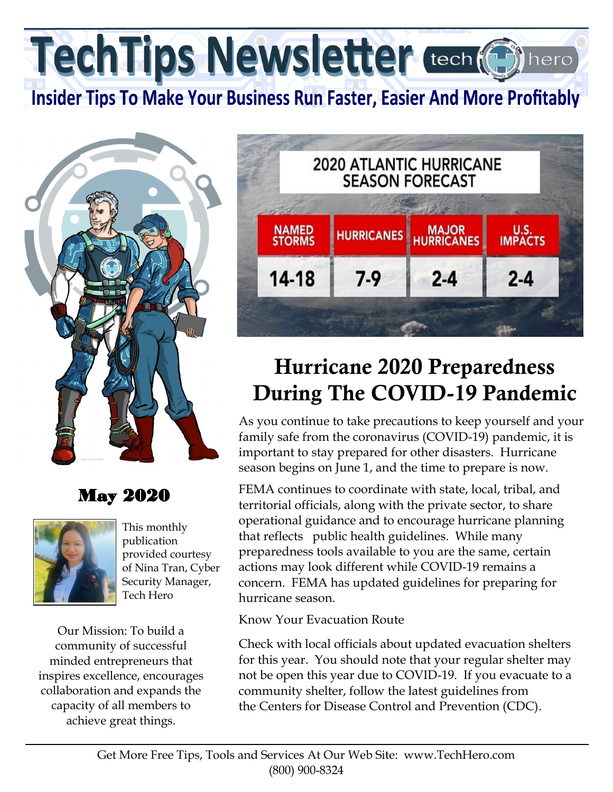TechTips Newsletter tech (6)

**Insider Tips To Make Your Business Run Faster, Easier And More Profitably** 



## May 2020



This monthly publication provided courtesy of Nina Tran, Cyber Security Manager, Tech Hero

Our Mission: To build a community of successful minded entrepreneurs that inspires excellence, encourages collaboration and expands the capacity of all members to achieve great things.



## Hurricane 2020 Preparedness During The COVID-19 Pandemic

As you continue to take precautions to keep yourself and your family safe from the coronavirus (COVID-19) pandemic, it is important to stay prepared for other disasters. Hurricane season begins on June 1, and the time to prepare is now.

FEMA continues to coordinate with state, local, tribal, and territorial officials, along with the private sector, to share operational guidance and to encourage hurricane planning that reflects public health guidelines. While many preparedness tools available to you are the same, certain actions may look different while COVID-19 remains a concern. FEMA has updated guidelines for preparing for hurricane season.

Know Your Evacuation Route

Check with local officials about updated evacuation shelters for this year. You should note that your regular shelter may not be open this year due to COVID-19. If you evacuate to a community shelter, follow the latest guidelines from the Centers for Disease Control and Prevention (CDC).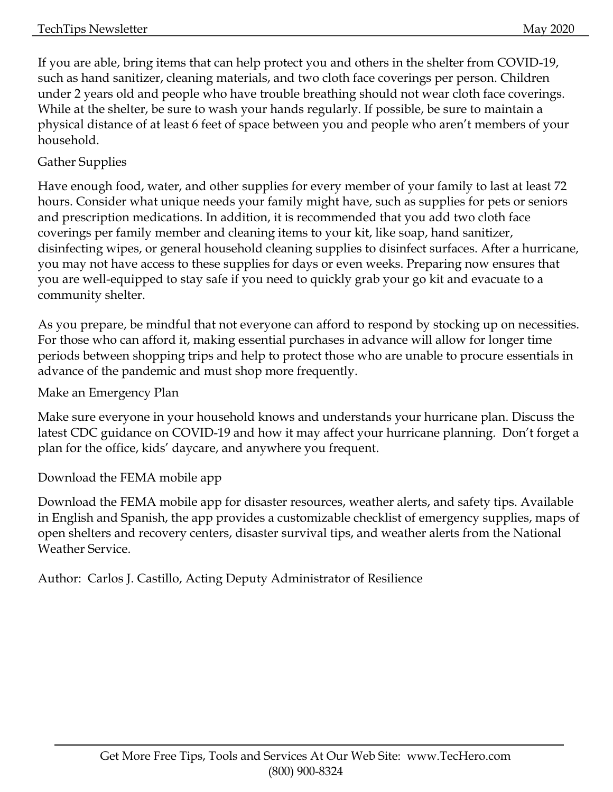If you are able, bring items that can help protect you and others in the shelter from COVID-19, such as hand sanitizer, cleaning materials, and two cloth face coverings per person. Children under 2 years old and people who have trouble breathing should not wear cloth face coverings. While at the shelter, be sure to wash your hands regularly. If possible, be sure to maintain a physical distance of at least 6 feet of space between you and people who aren't members of your household.

## Gather Supplies

Have enough food, water, and other supplies for every member of your family to last at least 72 hours. Consider what unique needs your family might have, such as supplies for pets or seniors and prescription medications. In addition, it is recommended that you add two cloth face coverings per family member and cleaning items to your kit, like soap, hand sanitizer, disinfecting wipes, or general household cleaning supplies to disinfect surfaces. After a hurricane, you may not have access to these supplies for days or even weeks. Preparing now ensures that you are well-equipped to stay safe if you need to quickly grab your go kit and evacuate to a community shelter.

As you prepare, be mindful that not everyone can afford to respond by stocking up on necessities. For those who can afford it, making essential purchases in advance will allow for longer time periods between shopping trips and help to protect those who are unable to procure essentials in advance of the pandemic and must shop more frequently.

Make an Emergency Plan

Make sure everyone in your household knows and understands your hurricane plan. Discuss the latest CDC guidance on COVID-19 and how it may affect your hurricane planning. Don't forget a plan for the office, kids' daycare, and anywhere you frequent.

Download the FEMA mobile app

Download the FEMA mobile app for disaster resources, weather alerts, and safety tips. Available in English and Spanish, the app provides a customizable checklist of emergency supplies, maps of open shelters and recovery centers, disaster survival tips, and weather alerts from the National Weather Service.

Author: Carlos J. Castillo, Acting Deputy Administrator of Resilience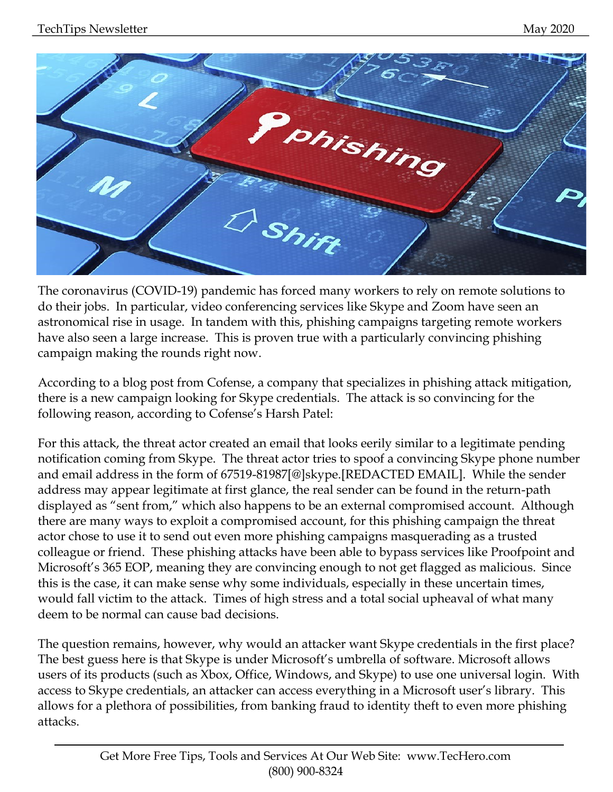

The coronavirus (COVID-19) pandemic has forced many workers to rely on remote solutions to do their jobs. In particular, video conferencing services like Skype and Zoom have seen an astronomical rise in usage. In tandem with this, phishing campaigns targeting remote workers have also seen a large increase. This is proven true with a particularly convincing phishing campaign making the rounds right now.

According to a blog post from Cofense, a company that specializes in phishing attack mitigation, there is a new campaign looking for Skype credentials. The attack is so convincing for the following reason, according to Cofense's Harsh Patel:

For this attack, the threat actor created an email that looks eerily similar to a legitimate pending notification coming from Skype. The threat actor tries to spoof a convincing Skype phone number and email address in the form of 67519-81987[@]skype.[REDACTED EMAIL]. While the sender address may appear legitimate at first glance, the real sender can be found in the return-path displayed as "sent from," which also happens to be an external compromised account. Although there are many ways to exploit a compromised account, for this phishing campaign the threat actor chose to use it to send out even more phishing campaigns masquerading as a trusted colleague or friend. These phishing attacks have been able to bypass services like Proofpoint and Microsoft's 365 EOP, meaning they are convincing enough to not get flagged as malicious. Since this is the case, it can make sense why some individuals, especially in these uncertain times, would fall victim to the attack. Times of high stress and a total social upheaval of what many deem to be normal can cause bad decisions.

The question remains, however, why would an attacker want Skype credentials in the first place? The best guess here is that Skype is under Microsoft's umbrella of software. Microsoft allows users of its products (such as Xbox, Office, Windows, and Skype) to use one universal login. With access to Skype credentials, an attacker can access everything in a Microsoft user's library. This allows for a plethora of possibilities, from banking fraud to identity theft to even more phishing attacks.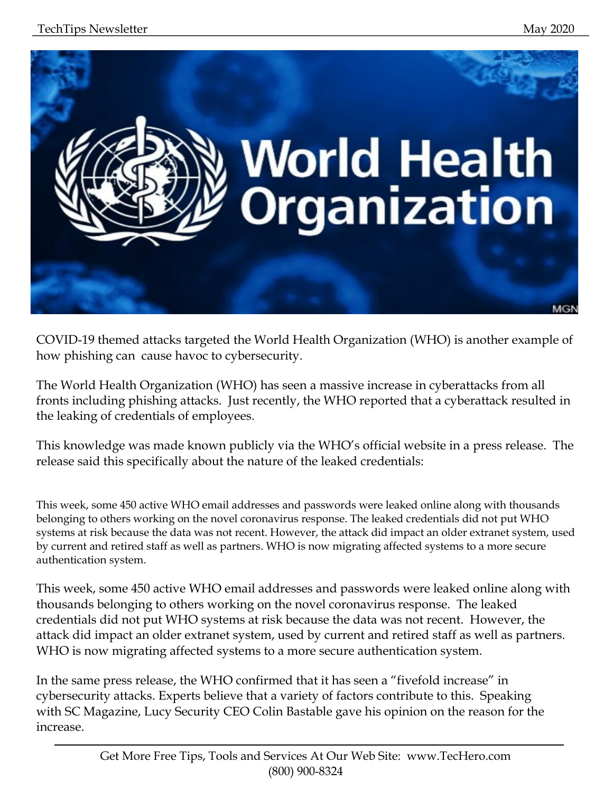

COVID-19 themed attacks targeted the World Health Organization (WHO) is another example of how phishing can cause havoc to cybersecurity.

The World Health Organization (WHO) has seen a massive increase in cyberattacks from all fronts including phishing attacks. Just recently, the WHO reported that a cyberattack resulted in the leaking of credentials of employees.

This knowledge was made known publicly via the WHO's official website in a press release. The release said this specifically about the nature of the leaked credentials:

This week, some 450 active WHO email addresses and passwords were leaked online along with thousands belonging to others working on the novel coronavirus response. The leaked credentials did not put WHO systems at risk because the data was not recent. However, the attack did impact an older extranet system, used by current and retired staff as well as partners. WHO is now migrating affected systems to a more secure authentication system.

This week, some 450 active WHO email addresses and passwords were leaked online along with thousands belonging to others working on the novel coronavirus response. The leaked credentials did not put WHO systems at risk because the data was not recent. However, the attack did impact an older extranet system, used by current and retired staff as well as partners. WHO is now migrating affected systems to a more secure authentication system.

In the same press release, the WHO confirmed that it has seen a "fivefold increase" in cybersecurity attacks. Experts believe that a variety of factors contribute to this. Speaking with SC Magazine, Lucy Security CEO Colin Bastable gave his opinion on the reason for the increase.